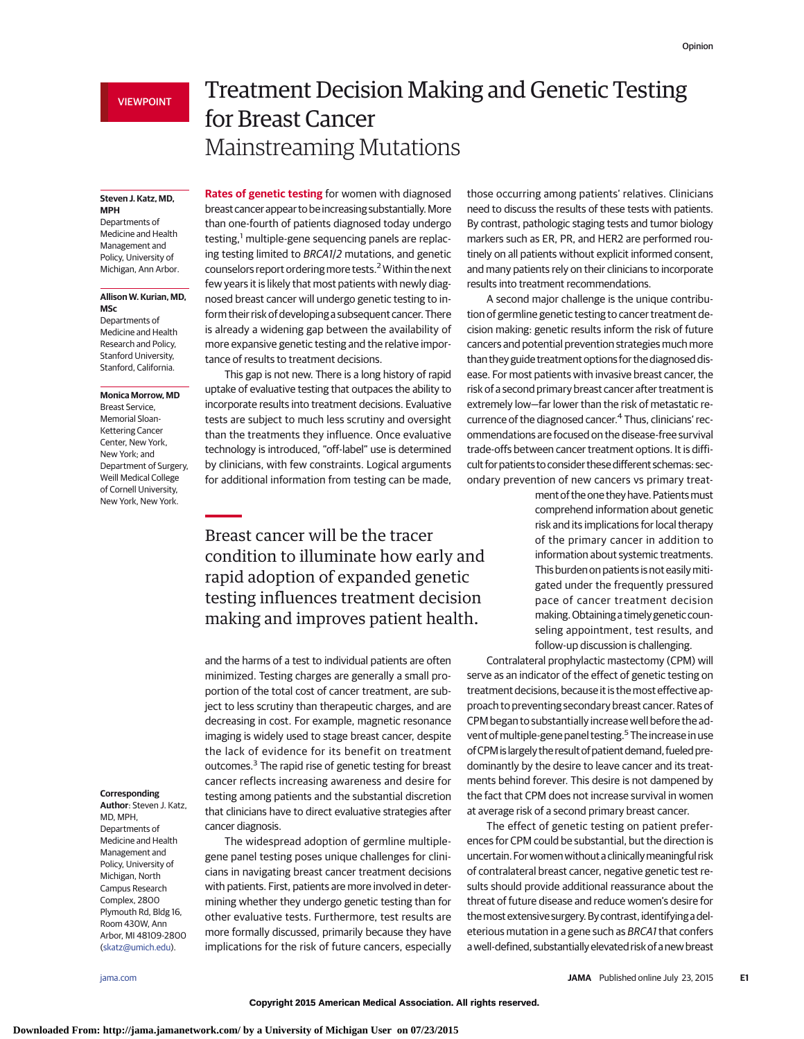### **Steven J. Katz, MD, MPH**

Departments of Medicine and Health Management and Policy, University of Michigan, Ann Arbor.

#### **Allison W. Kurian, MD, MSc**

Departments of Medicine and Health Research and Policy, Stanford University, Stanford, California.

### **Monica Morrow, MD**

Breast Service, Memorial Sloan-Kettering Cancer Center, New York, New York; and Department of Surgery, Weill Medical College of Cornell University, New York, New York.

# Treatment Decision Making and Genetic Testing for Breast Cancer Mainstreaming Mutations

**Rates of genetic testing** for women with diagnosed breast cancer appear to be increasing substantially.More than one-fourth of patients diagnosed today undergo testing, $1$  multiple-gene sequencing panels are replacing testing limited to BRCA1/2 mutations, and genetic counselors report ordering more tests.<sup>2</sup> Within the next few years it is likely that most patients with newly diagnosed breast cancer will undergo genetic testing to inform their risk of developing a subsequent cancer. There is already a widening gap between the availability of more expansive genetic testing and the relative importance of results to treatment decisions.

This gap is not new. There is a long history of rapid uptake of evaluative testing that outpaces the ability to incorporate results into treatment decisions. Evaluative tests are subject to much less scrutiny and oversight than the treatments they influence. Once evaluative technology is introduced, "off-label" use is determined by clinicians, with few constraints. Logical arguments for additional information from testing can be made,

# Breast cancer will be the tracer condition to illuminate how early and rapid adoption of expanded genetic testing influences treatment decision making and improves patient health.

and the harms of a test to individual patients are often minimized. Testing charges are generally a small proportion of the total cost of cancer treatment, are subject to less scrutiny than therapeutic charges, and are decreasing in cost. For example, magnetic resonance imaging is widely used to stage breast cancer, despite the lack of evidence for its benefit on treatment outcomes.3 The rapid rise of genetic testing for breast cancer reflects increasing awareness and desire for testing among patients and the substantial discretion that clinicians have to direct evaluative strategies after cancer diagnosis.

The widespread adoption of germline multiplegene panel testing poses unique challenges for clinicians in navigating breast cancer treatment decisions with patients. First, patients are more involved in determining whether they undergo genetic testing than for other evaluative tests. Furthermore, test results are more formally discussed, primarily because they have implications for the risk of future cancers, especially

those occurring among patients' relatives. Clinicians need to discuss the results of these tests with patients. By contrast, pathologic staging tests and tumor biology markers such as ER, PR, and HER2 are performed routinely on all patients without explicit informed consent, and many patients rely on their clinicians to incorporate results into treatment recommendations.

A second major challenge is the unique contribution of germline genetic testing to cancer treatment decision making: genetic results inform the risk of future cancers and potential prevention strategies much more than they guide treatment options for the diagnosed disease. For most patients with invasive breast cancer, the risk of a second primary breast cancer after treatment is extremely low—far lower than the risk of metastatic recurrence of the diagnosed cancer.<sup>4</sup> Thus, clinicians' recommendations are focused on the disease-free survival trade-offs between cancer treatment options. It is difficult for patients to consider these different schemas: secondary prevention of new cancers vs primary treat-

> ment of the one they have. Patients must comprehend information about genetic risk and its implications for local therapy of the primary cancer in addition to information about systemic treatments. This burden on patients is not easilymitigated under the frequently pressured pace of cancer treatment decision making.Obtaining a timely genetic counseling appointment, test results, and follow-up discussion is challenging.

Contralateral prophylactic mastectomy (CPM) will serve as an indicator of the effect of genetic testing on treatment decisions, because it is the most effective approach to preventing secondary breast cancer. Rates of CPM began to substantially increase well before the advent of multiple-gene panel testing.<sup>5</sup> The increase in use of CPM is largely the result of patient demand, fueled predominantly by the desire to leave cancer and its treatments behind forever. This desire is not dampened by the fact that CPM does not increase survival in women at average risk of a second primary breast cancer.

The effect of genetic testing on patient preferences for CPM could be substantial, but the direction is uncertain. For women without a clinically meaningful risk of contralateral breast cancer, negative genetic test results should provide additional reassurance about the threat of future disease and reduce women's desire for themostextensive surgery.By contrast, identifyinga deleterious mutation in a gene such as BRCA1 that confers awell-defined, substantiallyelevated risk of a new breast

## **Corresponding**

**Author**: Steven J. Katz, MD, MPH, Departments of Medicine and Health Management and Policy, University of Michigan, North Campus Research Complex, 2800 Plymouth Rd, Bldg 16, Room 430W, Ann Arbor, MI 48109-2800 [\(skatz@umich.edu\)](mailto:skatz@umich.edu).